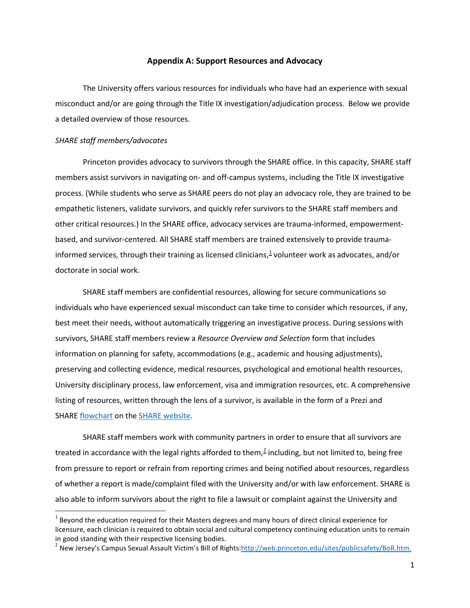## **Appendix A: Support Resources and Advocacy**

 a detailed overview of those resources. The University offers various resources for individuals who have had an experience with sexual misconduct and/or are going through the Title IX investigation/adjudication process. Below we provide

#### *SHARE staff members/advocates*

 $\overline{\phantom{a}}$ 

 other critical resources.) In the SHARE office, advocacy services are trauma-informed, empowerment-Princeton provides advocacy to survivors through the SHARE office. In this capacity, SHARE staff members assist survivors in navigating on- and off-campus systems, including the Title IX investigative process. (While students who serve as SHARE peers do not play an advocacy role, they are trained to be empathetic listeners, validate survivors, and quickly refer survivors to the SHARE staff members and based, and survivor-centered. All SHARE staff members are trained extensively to provide traumainformed services, through their training as licensed clinicians, $1$  volunteer work as advocates, and/or doctorate in social work.

 individuals who have experienced sexual misconduct can take time to consider which resources, if any, survivors, SHARE staff members review a *Resource Overview and Selection* form that includes University disciplinary process, law enforcement, visa and immigration resources, etc. A comprehensive SHARE staff members are confidential resources, allowing for secure communications so best meet their needs, without automatically triggering an investigative process. During sessions with information on planning for safety, accommodations (e.g., academic and housing adjustments), preserving and collecting evidence, medical resources, psychological and emotional health resources, listing of resources, written through the lens of a survivor, is available in the form of a Prezi and SHARE [flowchart](https://share.princeton.edu/sites/share/files/Options-Flowchart_1.pdf) on the [SHARE website](https://share.princeton.edu/).

 of whether a report is made/complaint filed with the University and/or with law enforcement. SHARE is also able to inform survivors about the right to file a lawsuit or complaint against the University and SHARE staff members work with community partners in order to ensure that all survivors are treated in accordance with the legal rights afforded to them,<sup>2</sup> including, but not limited to, being free from pressure to report or refrain from reporting crimes and being notified about resources, regardless

<span id="page-0-0"></span> $<sup>1</sup>$  Beyond the education required for their Masters degrees and many hours of direct clinical experience for</sup> licensure, each clinician is required to obtain social and cultural competency continuing education units to remain in good standing with their respective licensing bodies.

<span id="page-0-1"></span><sup>&</sup>lt;sup>2</sup> New Jersey's Campus Sexual Assault Victim's Bill of Rights:<u>http://web.princeton.edu/sites/publicsafety/BoR.htm.</u>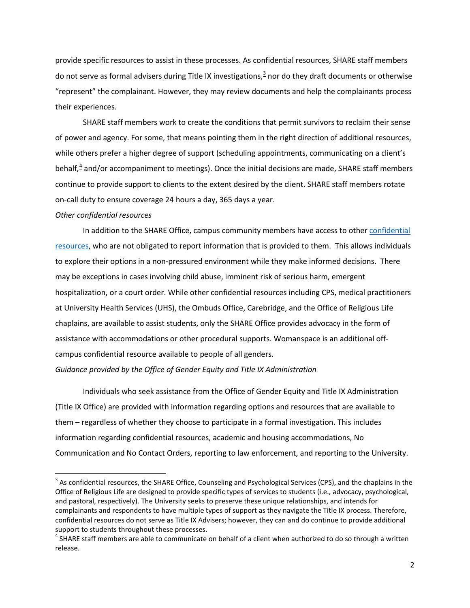do not serve as formal advisers during Title IX investigations,<sup>[3](#page-1-0)</sup> nor do they draft documents or otherwise provide specific resources to assist in these processes. As confidential resources, SHARE staff members "represent" the complainant. However, they may review documents and help the complainants process their experiences.

 of power and agency. For some, that means pointing them in the right direction of additional resources, while others prefer a higher degree of support (scheduling appointments, communicating on a client's SHARE staff members work to create the conditions that permit survivors to reclaim their sense behalf, $4$  and/or accompaniment to meetings). Once the initial decisions are made, SHARE staff members continue to provide support to clients to the extent desired by the client. SHARE staff members rotate on-call duty to ensure coverage 24 hours a day, 365 days a year.

#### *Other confidential resources*

l

[resources,](https://sexualmisconduct.princeton.edu/resources-reporting/resources) who are not obligated to report information that is provided to them. This allows individuals to explore their options in a non-pressured environment while they make informed decisions. There may be exceptions in cases involving child abuse, imminent risk of serious harm, emergent hospitalization, or a court order. While other confidential resources including CPS, medical practitioners at University Health Services (UHS), the Ombuds Office, Carebridge, and the Office of Religious Life chaplains, are available to assist students, only the SHARE Office provides advocacy in the form of In addition to the SHARE Office, campus community members have access to other [confidential](https://sexualmisconduct.princeton.edu/resources-reporting/resources)  assistance with accommodations or other procedural supports. Womanspace is an additional offcampus confidential resource available to people of all genders.

*Guidance provided by the Office of Gender Equity and Title IX Administration* 

 them – regardless of whether they choose to participate in a formal investigation. This includes Individuals who seek assistance from the Office of Gender Equity and Title IX Administration (Title IX Office) are provided with information regarding options and resources that are available to information regarding confidential resources, academic and housing accommodations, No Communication and No Contact Orders, reporting to law enforcement, and reporting to the University.

<span id="page-1-0"></span> $3$  As confidential resources, the SHARE Office, Counseling and Psychological Services (CPS), and the chaplains in the complainants and respondents to have multiple types of support as they navigate the Title IX process. Therefore, Office of Religious Life are designed to provide specific types of services to students (i.e., advocacy, psychological, and pastoral, respectively). The University seeks to preserve these unique relationships, and intends for confidential resources do not serve as Title IX Advisers; however, they can and do continue to provide additional support to students throughout these processes.<br><sup>4</sup> SHARE staff members are able to communicate on behalf of a client when authorized to do so through a written

<span id="page-1-1"></span>release.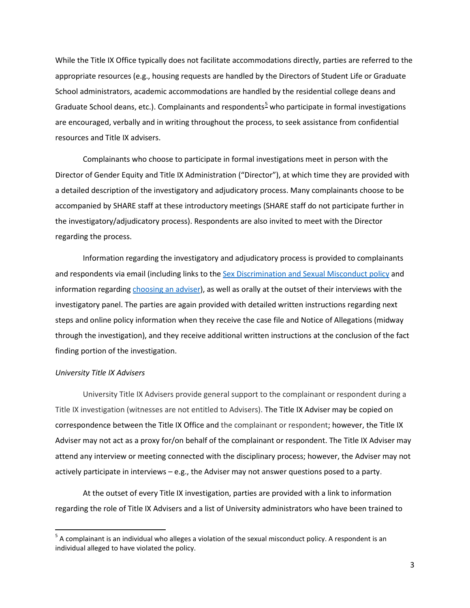While the Title IX Office typically does not facilitate accommodations directly, parties are referred to the appropriate resources (e.g., housing requests are handled by the Directors of Student Life or Graduate School administrators, academic accommodations are handled by the residential college deans and Graduate School deans, etc.). Complainants and respondents<sup>5</sup> who participate in formal investigations are encouraged, verbally and in writing throughout the process, to seek assistance from confidential resources and Title IX advisers.

 Complainants who choose to participate in formal investigations meet in person with the Director of Gender Equity and Title IX Administration ("Director"), at which time they are provided with accompanied by SHARE staff at these introductory meetings (SHARE staff do not participate further in a detailed description of the investigatory and adjudicatory process. Many complainants choose to be the investigatory/adjudicatory process). Respondents are also invited to meet with the Director regarding the process.

and respondents via email (including links to th[e Sex Discrimination and Sexual Misconduct policy](https://sexualmisconduct.princeton.edu/policy) and steps and online policy information when they receive the case file and Notice of Allegations (midway Information regarding the investigatory and adjudicatory process is provided to complainants information regarding [choosing an adviser\)](https://sexualmisconductinvestigations.princeton.edu/information-parties/choosing-adviser), as well as orally at the outset of their interviews with the investigatory panel. The parties are again provided with detailed written instructions regarding next through the investigation), and they receive additional written instructions at the conclusion of the fact finding portion of the investigation.

#### *University Title IX Advisers*

**.** 

 University Title IX Advisers provide general support to the complainant or respondent during a Title IX investigation (witnesses are not entitled to Advisers). The Title IX Adviser may be copied on attend any interview or meeting connected with the disciplinary process; however, the Adviser may not correspondence between the Title IX Office and the complainant or respondent; however, the Title IX Adviser may not act as a proxy for/on behalf of the complainant or respondent. The Title IX Adviser may actively participate in interviews – e.g., the Adviser may not answer questions posed to a party.

 At the outset of every Title IX investigation, parties are provided with a link to information regarding the role of Title IX Advisers and a list of University administrators who have been trained to

<span id="page-2-0"></span> $<sup>5</sup>$  A complainant is an individual who alleges a violation of the sexual misconduct policy. A respondent is an</sup> individual alleged to have violated the policy.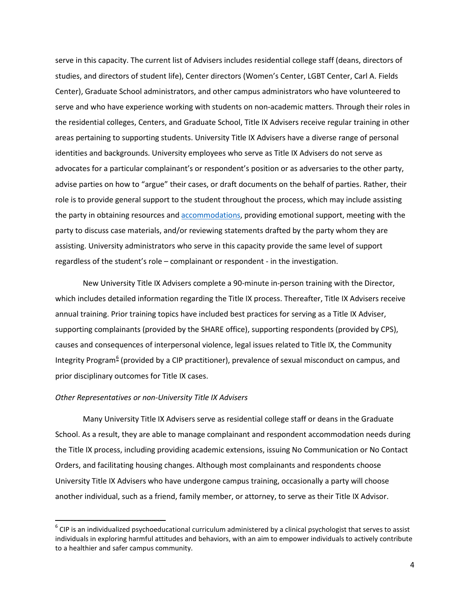Center), Graduate School administrators, and other campus administrators who have volunteered to advocates for a particular complainant's or respondent's position or as adversaries to the other party, advise parties on how to "argue" their cases, or draft documents on the behalf of parties. Rather, their role is to provide general support to the student throughout the process, which may include assisting the party in obtaining resources and **accommodations**, providing emotional support, meeting with the party to discuss case materials, and/or reviewing statements drafted by the party whom they are serve in this capacity. The current list of Advisers includes residential college staff (deans, directors of studies, and directors of student life), Center directors (Women's Center, LGBT Center, Carl A. Fields serve and who have experience working with students on non-academic matters. Through their roles in the residential colleges, Centers, and Graduate School, Title IX Advisers receive regular training in other areas pertaining to supporting students. University Title IX Advisers have a diverse range of personal identities and backgrounds. University employees who serve as Title IX Advisers do not serve as assisting. University administrators who serve in this capacity provide the same level of support regardless of the student's role – complainant or respondent - in the investigation.

New University Title IX Advisers complete a 90-minute in-person training with the Director, which includes detailed information regarding the Title IX process. Thereafter, Title IX Advisers receive annual training. Prior training topics have included best practices for serving as a Title IX Adviser, supporting complainants (provided by the SHARE office), supporting respondents (provided by CPS), causes and consequences of interpersonal violence, legal issues related to Title IX, the Community Integrity Program<sup>6</sup> (provided by a CIP practitioner), prevalence of sexual misconduct on campus, and prior disciplinary outcomes for Title IX cases.

#### *Other Representatives or non-University Title IX Advisers*

 $\overline{a}$ 

 Many University Title IX Advisers serve as residential college staff or deans in the Graduate School. As a result, they are able to manage complainant and respondent accommodation needs during University Title IX Advisers who have undergone campus training, occasionally a party will choose another individual, such as a friend, family member, or attorney, to serve as their Title IX Advisor. the Title IX process, including providing academic extensions, issuing No Communication or No Contact Orders, and facilitating housing changes. Although most complainants and respondents choose

<span id="page-3-0"></span> $6$  CIP is an individualized psychoeducational curriculum administered by a clinical psychologist that serves to assist individuals in exploring harmful attitudes and behaviors, with an aim to empower individuals to actively contribute to a healthier and safer campus community.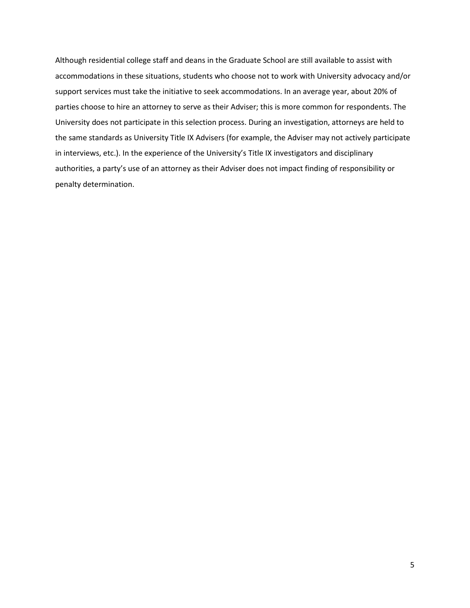accommodations in these situations, students who choose not to work with University advocacy and/or support services must take the initiative to seek accommodations. In an average year, about 20% of Although residential college staff and deans in the Graduate School are still available to assist with parties choose to hire an attorney to serve as their Adviser; this is more common for respondents. The University does not participate in this selection process. During an investigation, attorneys are held to the same standards as University Title IX Advisers (for example, the Adviser may not actively participate in interviews, etc.). In the experience of the University's Title IX investigators and disciplinary authorities, a party's use of an attorney as their Adviser does not impact finding of responsibility or penalty determination.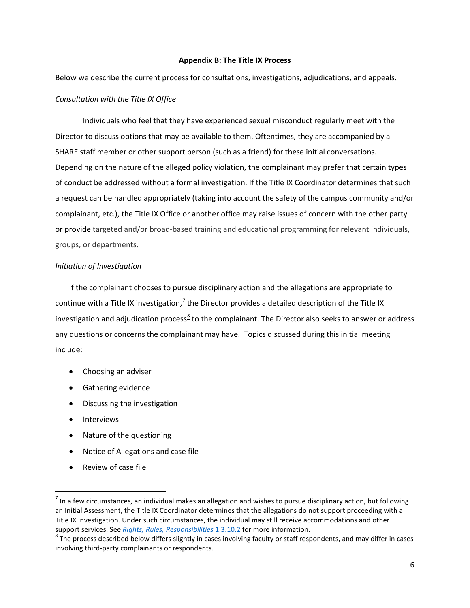# **Appendix B: The Title IX Process**

Below we describe the current process for consultations, investigations, adjudications, and appeals.

# *Consultation with the Title IX Office*

 Director to discuss options that may be available to them. Oftentimes, they are accompanied by a complainant, etc.), the Title IX Office or another office may raise issues of concern with the other party Individuals who feel that they have experienced sexual misconduct regularly meet with the SHARE staff member or other support person (such as a friend) for these initial conversations. Depending on the nature of the alleged policy violation, the complainant may prefer that certain types of conduct be addressed without a formal investigation. If the Title IX Coordinator determines that such a request can be handled appropriately (taking into account the safety of the campus community and/or or provide targeted and/or broad-based training and educational programming for relevant individuals, groups, or departments.

#### *Initiation of Investigation*

 If the complainant chooses to pursue disciplinary action and the allegations are appropriate to continue with a Title IX investigation,<sup>[7](#page-5-0)</sup> the Director provides a detailed description of the Title IX any questions or concerns the complainant may have. Topics discussed during this initial meeting investigation and adjudication process<sup>[8](#page-5-1)</sup> to the complainant. The Director also seeks to answer or address include:

- Choosing an adviser
- Gathering evidence
- Discussing the investigation
- Interviews

 $\overline{a}$ 

- Nature of the questioning
- Notice of Allegations and case file
- Review of case file

<span id="page-5-0"></span>support services. See Rights, Rules, Responsibilities 1.3.10.2 for more information. support services. See <u>Rights, Rules, Responsibilities 1.3.10.2</u> for more information.<br><sup>8</sup> The process described below differs slightly in cases involving faculty or staff respondents, and may differ in cases  $<sup>7</sup>$  In a few circumstances, an individual makes an allegation and wishes to pursue disciplinary action, but following</sup> an Initial Assessment, the Title IX Coordinator determines that the allegations do not support proceeding with a Title IX investigation. Under such circumstances, the individual may still receive accommodations and other

<span id="page-5-1"></span>involving third-party complainants or respondents.<br>
6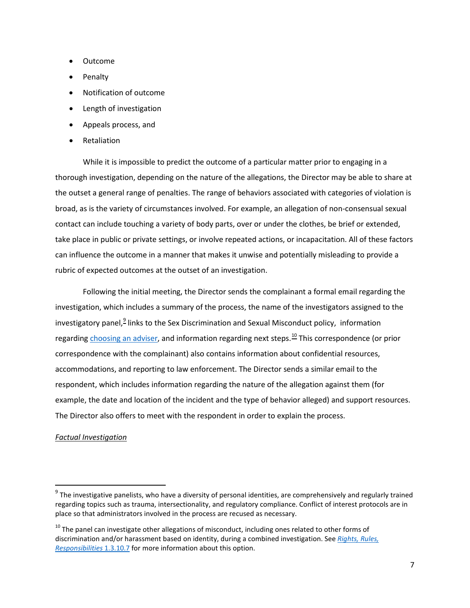- Outcome
- Penalty
- Notification of outcome
- Length of investigation
- Appeals process, and
- Retaliation

 the outset a general range of penalties. The range of behaviors associated with categories of violation is contact can include touching a variety of body parts, over or under the clothes, be brief or extended, While it is impossible to predict the outcome of a particular matter prior to engaging in a thorough investigation, depending on the nature of the allegations, the Director may be able to share at broad, as is the variety of circumstances involved. For example, an allegation of non-consensual sexual take place in public or private settings, or involve repeated actions, or incapacitation. All of these factors can influence the outcome in a manner that makes it unwise and potentially misleading to provide a rubric of expected outcomes at the outset of an investigation.

 investigation, which includes a summary of the process, the name of the investigators assigned to the correspondence with the complainant) also contains information about confidential resources, The Director also offers to meet with the respondent in order to explain the process. Following the initial meeting, the Director sends the complainant a formal email regarding the investigatory panel,<sup>[9](#page-6-0)</sup> links to the Sex Discrimination and Sexual Misconduct policy, information regarding [choosing an adviser,](https://sexualmisconductinvestigations.princeton.edu/information-parties/choosing-adviser) and information regarding next steps.<sup>10</sup> This correspondence (or prior accommodations, and reporting to law enforcement. The Director sends a similar email to the respondent, which includes information regarding the nature of the allegation against them (for example, the date and location of the incident and the type of behavior alleged) and support resources.

## *Factual Investigation*

 $\overline{\phantom{a}}$ 

<span id="page-6-0"></span> $9$  The investigative panelists, who have a diversity of personal identities, are comprehensively and regularly trained regarding topics such as trauma, intersectionality, and regulatory compliance. Conflict of interest protocols are in place so that administrators involved in the process are recused as necessary.

<span id="page-6-1"></span> *[Responsibilities](https://rrr.princeton.edu/university#comp1310)* 1.3.10.7 for more information about this option.  $10$  The panel can investigate other allegations of misconduct, including ones related to other forms of discrimination and/or harassment based on identity, during a combined investigation. See *[Rights, Rules,](https://rrr.princeton.edu/university#comp1310)*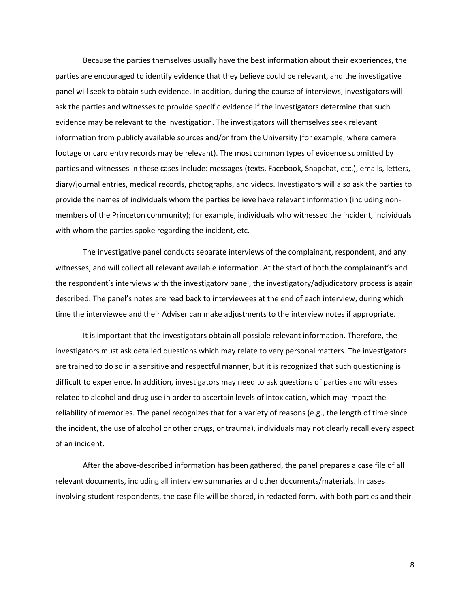parties are encouraged to identify evidence that they believe could be relevant, and the investigative ask the parties and witnesses to provide specific evidence if the investigators determine that such members of the Princeton community); for example, individuals who witnessed the incident, individuals Because the parties themselves usually have the best information about their experiences, the panel will seek to obtain such evidence. In addition, during the course of interviews, investigators will evidence may be relevant to the investigation. The investigators will themselves seek relevant information from publicly available sources and/or from the University (for example, where camera footage or card entry records may be relevant). The most common types of evidence submitted by parties and witnesses in these cases include: messages (texts, Facebook, Snapchat, etc.), emails, letters, diary/journal entries, medical records, photographs, and videos. Investigators will also ask the parties to provide the names of individuals whom the parties believe have relevant information (including nonwith whom the parties spoke regarding the incident, etc.

 witnesses, and will collect all relevant available information. At the start of both the complainant's and described. The panel's notes are read back to interviewees at the end of each interview, during which The investigative panel conducts separate interviews of the complainant, respondent, and any the respondent's interviews with the investigatory panel, the investigatory/adjudicatory process is again

time the interviewee and their Adviser can make adjustments to the interview notes if appropriate.<br>It is important that the investigators obtain all possible relevant information. Therefore, the difficult to experience. In addition, investigators may need to ask questions of parties and witnesses related to alcohol and drug use in order to ascertain levels of intoxication, which may impact the the incident, the use of alcohol or other drugs, or trauma), individuals may not clearly recall every aspect investigators must ask detailed questions which may relate to very personal matters. The investigators are trained to do so in a sensitive and respectful manner, but it is recognized that such questioning is reliability of memories. The panel recognizes that for a variety of reasons (e.g., the length of time since of an incident.

 involving student respondents, the case file will be shared, in redacted form, with both parties and their After the above-described information has been gathered, the panel prepares a case file of all relevant documents, including all interview summaries and other documents/materials. In cases

8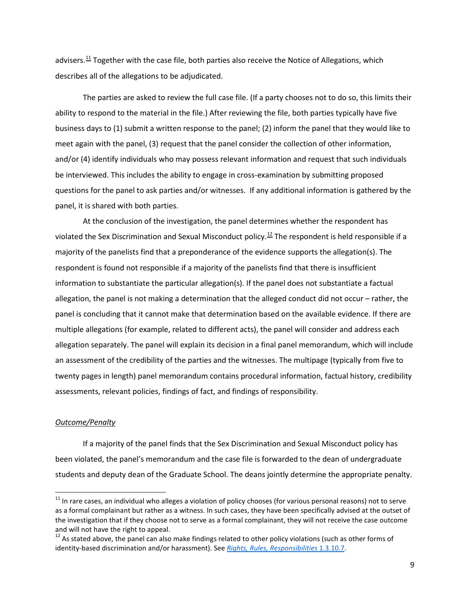advisers.<sup>11</sup> Together with the case file, both parties also receive the Notice of Allegations, which describes all of the allegations to be adjudicated.

describes all of the allegations to be adjudicated.<br>The parties are asked to review the full case file. (If a party chooses not to do so, this limits their ability to respond to the material in the file.) After reviewing the file, both parties typically have five business days to (1) submit a written response to the panel; (2) inform the panel that they would like to meet again with the panel, (3) request that the panel consider the collection of other information, be interviewed. This includes the ability to engage in cross-examination by submitting proposed questions for the panel to ask parties and/or witnesses. If any additional information is gathered by the panel, it is shared with both parties. and/or (4) identify individuals who may possess relevant information and request that such individuals

 respondent is found not responsible if a majority of the panelists find that there is insufficient allegation, the panel is not making a determination that the alleged conduct did not occur – rather, the multiple allegations (for example, related to different acts), the panel will consider and address each allegation separately. The panel will explain its decision in a final panel memorandum, which will include At the conclusion of the investigation, the panel determines whether the respondent has violated the Sex Discrimination and Sexual Misconduct policy.<sup>[12](#page-8-1)</sup> The respondent is held responsible if a majority of the panelists find that a preponderance of the evidence supports the allegation(s). The information to substantiate the particular allegation(s). If the panel does not substantiate a factual panel is concluding that it cannot make that determination based on the available evidence. If there are an assessment of the credibility of the parties and the witnesses. The multipage (typically from five to twenty pages in length) panel memorandum contains procedural information, factual history, credibility assessments, relevant policies, findings of fact, and findings of responsibility.

# *Outcome/Penalty*

**.** 

If a majority of the panel finds that the Sex Discrimination and Sexual Misconduct policy has been violated, the panel's memorandum and the case file is forwarded to the dean of undergraduate students and deputy dean of the Graduate School. The deans jointly determine the appropriate penalty.

<span id="page-8-0"></span> $11$  In rare cases, an individual who alleges a violation of policy chooses (for various personal reasons) not to serve as a formal complainant but rather as a witness. In such cases, they have been specifically advised at the outset of the investigation that if they choose not to serve as a formal complainant, they will not receive the case outcome and will not have the right to appeal.

<span id="page-8-1"></span> identity-based discrimination and/or harassment). See *[Rights, Rules, Responsibilities](https://rrr.princeton.edu/university#comp1310)* 1.3.10.7.  $12$  As stated above, the panel can also make findings related to other policy violations (such as other forms of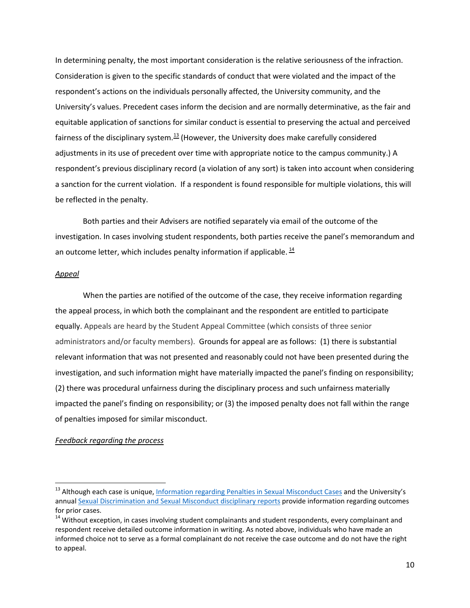equitable application of sanctions for similar conduct is essential to preserving the actual and perceived a sanction for the current violation. If a respondent is found responsible for multiple violations, this will be reflected in the penalty. In determining penalty, the most important consideration is the relative seriousness of the infraction. Consideration is given to the specific standards of conduct that were violated and the impact of the respondent's actions on the individuals personally affected, the University community, and the University's values. Precedent cases inform the decision and are normally determinative, as the fair and fairness of the disciplinary system.<sup>[13](#page-9-0)</sup> (However, the University does make carefully considered adjustments in its use of precedent over time with appropriate notice to the campus community.) A respondent's previous disciplinary record (a violation of any sort) is taken into account when considering

 Both parties and their Advisers are notified separately via email of the outcome of the investigation. In cases involving student respondents, both parties receive the panel's memorandum and an outcome letter, which includes penalty information if applicable.  $^{14}$ 

#### *Appeal*

 $\overline{\phantom{a}}$ 

 the appeal process, in which both the complainant and the respondent are entitled to participate administrators and/or faculty members). Grounds for appeal are as follows: (1) there is substantial relevant information that was not presented and reasonably could not have been presented during the investigation, and such information might have materially impacted the panel's finding on responsibility; (2) there was procedural unfairness during the disciplinary process and such unfairness materially impacted the panel's finding on responsibility; or (3) the imposed penalty does not fall within the range of penalties imposed for similar misconduct. When the parties are notified of the outcome of the case, they receive information regarding equally. Appeals are heard by the Student Appeal Committee (which consists of three senior

## *Feedback regarding the process*

<span id="page-9-0"></span><sup>&</sup>lt;sup>13</sup> Although each case is unique, <u>Information regarding Penalties in Sexual Misconduct Cases</u> and the University's for prior cases. annual [Sexual Discrimination and Sexual Misconduct disciplinary reports p](https://sexualmisconduct.princeton.edu/reports)rovide information regarding outcomes

<span id="page-9-1"></span><sup>&</sup>lt;sup>14</sup> Without exception, in cases involving student complainants and student respondents, every complainant and respondent receive detailed outcome information in writing. As noted above, individuals who have made an informed choice not to serve as a formal complainant do not receive the case outcome and do not have the right to appeal.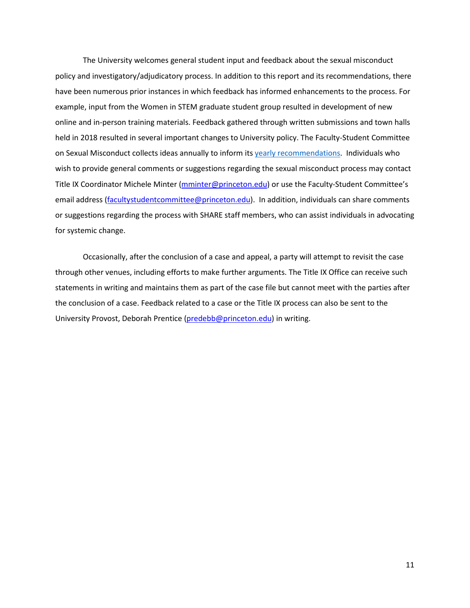The University welcomes general student input and feedback about the sexual misconduct example, input from the Women in STEM graduate student group resulted in development of new held in 2018 resulted in several important changes to University policy. The Faculty-Student Committee wish to provide general comments or suggestions regarding the sexual misconduct process may contact email address (*facultystudentcommittee@princeton.edu*). In addition, individuals can share comments policy and investigatory/adjudicatory process. In addition to this report and its recommendations, there have been numerous prior instances in which feedback has informed enhancements to the process. For online and in-person training materials. Feedback gathered through written submissions and town halls on Sexual Misconduct collects ideas annually to inform its [yearly recommendations.](https://sexualmisconduct.princeton.edu/faculty-student-committee) Individuals who Title IX Coordinator Michele Minter (*mminter@princeton.edu*) or use the Faculty-Student Committee's or suggestions regarding the process with SHARE staff members, who can assist individuals in advocating for systemic change.

 Occasionally, after the conclusion of a case and appeal, a party will attempt to revisit the case statements in writing and maintains them as part of the case file but cannot meet with the parties after the conclusion of a case. Feedback related to a case or the Title IX process can also be sent to the through other venues, including efforts to make further arguments. The Title IX Office can receive such University Provost, Deborah Prentice [\(predebb@princeton.edu\)](mailto:predebb@princeton.edu) in writing.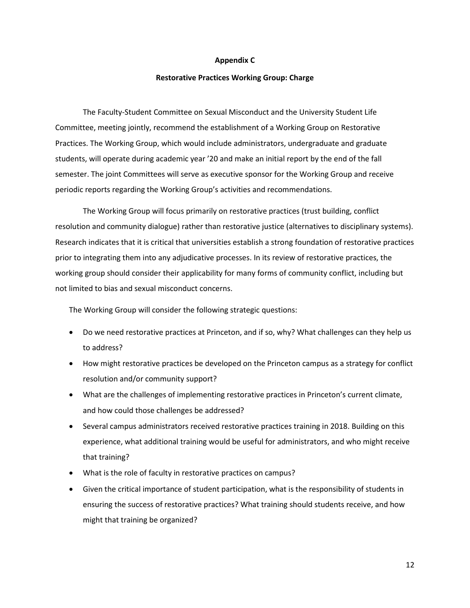#### **Appendix C**

#### **Restorative Practices Working Group: Charge**

The Faculty-Student Committee on Sexual Misconduct and the University Student Life Committee, meeting jointly, recommend the establishment of a Working Group on Restorative Practices. The Working Group, which would include administrators, undergraduate and graduate students, will operate during academic year '20 and make an initial report by the end of the fall semester. The joint Committees will serve as executive sponsor for the Working Group and receive periodic reports regarding the Working Group's activities and recommendations.

 The Working Group will focus primarily on restorative practices (trust building, conflict resolution and community dialogue) rather than restorative justice (alternatives to disciplinary systems). Research indicates that it is critical that universities establish a strong foundation of restorative practices prior to integrating them into any adjudicative processes. In its review of restorative practices, the working group should consider their applicability for many forms of community conflict, including but not limited to bias and sexual misconduct concerns.

The Working Group will consider the following strategic questions:

- Do we need restorative practices at Princeton, and if so, why? What challenges can they help us to address?
- • How might restorative practices be developed on the Princeton campus as a strategy for conflict resolution and/or community support?
- What are the challenges of implementing restorative practices in Princeton's current climate, and how could those challenges be addressed?
- that training? • Several campus administrators received restorative practices training in 2018. Building on this experience, what additional training would be useful for administrators, and who might receive
- What is the role of faculty in restorative practices on campus?
- • Given the critical importance of student participation, what is the responsibility of students in ensuring the success of restorative practices? What training should students receive, and how might that training be organized?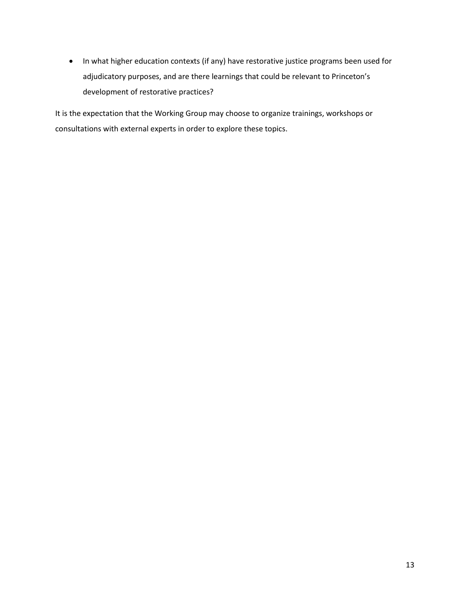adjudicatory purposes, and are there learnings that could be relevant to Princeton's • In what higher education contexts (if any) have restorative justice programs been used for development of restorative practices?

 It is the expectation that the Working Group may choose to organize trainings, workshops or consultations with external experts in order to explore these topics.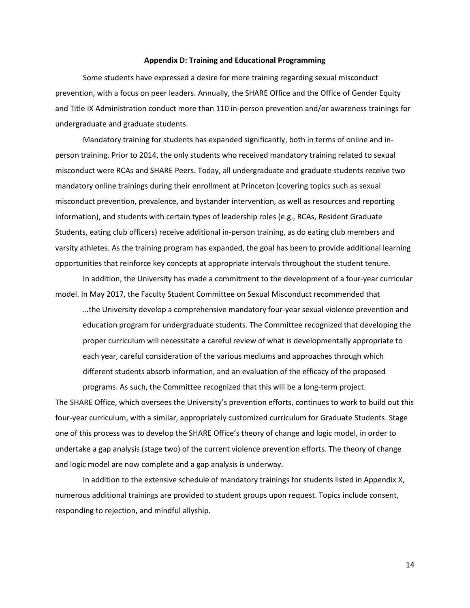#### **Appendix D: Training and Educational Programming**

 and Title IX Administration conduct more than 110 in-person prevention and/or awareness trainings for Some students have expressed a desire for more training regarding sexual misconduct prevention, with a focus on peer leaders. Annually, the SHARE Office and the Office of Gender Equity undergraduate and graduate students.

 person training. Prior to 2014, the only students who received mandatory training related to sexual misconduct were RCAs and SHARE Peers. Today, all undergraduate and graduate students receive two Mandatory training for students has expanded significantly, both in terms of online and inmandatory online trainings during their enrollment at Princeton (covering topics such as sexual misconduct prevention, prevalence, and bystander intervention, as well as resources and reporting information), and students with certain types of leadership roles (e.g., RCAs, Resident Graduate Students, eating club officers) receive additional in-person training, as do eating club members and varsity athletes. As the training program has expanded, the goal has been to provide additional learning opportunities that reinforce key concepts at appropriate intervals throughout the student tenure.

In addition, the University has made a commitment to the development of a four-year curricular model. In May 2017, the Faculty Student Committee on Sexual Misconduct recommended that

 …the University develop a comprehensive mandatory four-year sexual violence prevention and proper curriculum will necessitate a careful review of what is developmentally appropriate to different students absorb information, and an evaluation of the efficacy of the proposed programs. As such, the Committee recognized that this will be a long-term project. education program for undergraduate students. The Committee recognized that developing the each year, careful consideration of the various mediums and approaches through which

 programs. As such, the Committee recognized that this will be a long-term project. The SHARE Office, which oversees the University's prevention efforts, continues to work to build out this one of this process was to develop the SHARE Office's theory of change and logic model, in order to four-year curriculum, with a similar, appropriately customized curriculum for Graduate Students. Stage undertake a gap analysis (stage two) of the current violence prevention efforts. The theory of change and logic model are now complete and a gap analysis is underway.

 In addition to the extensive schedule of mandatory trainings for students listed in Appendix X, responding to rejection, and mindful allyship. numerous additional trainings are provided to student groups upon request. Topics include consent,

14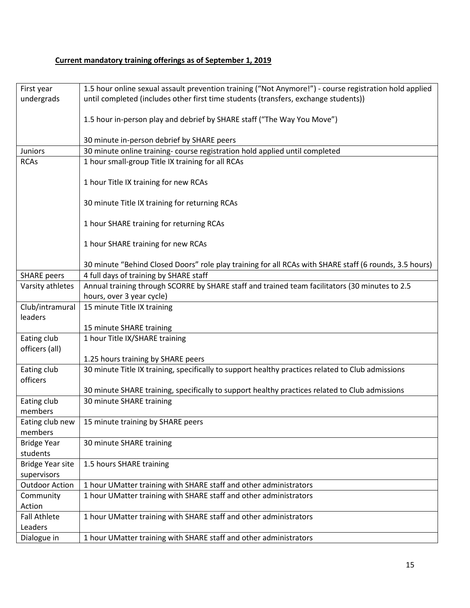# **Current mandatory training offerings as of September 1, 2019**

| First year              | 1.5 hour online sexual assault prevention training ("Not Anymore!") - course registration hold applied |  |  |  |  |  |  |
|-------------------------|--------------------------------------------------------------------------------------------------------|--|--|--|--|--|--|
| undergrads              | until completed (includes other first time students (transfers, exchange students))                    |  |  |  |  |  |  |
|                         |                                                                                                        |  |  |  |  |  |  |
|                         | 1.5 hour in-person play and debrief by SHARE staff ("The Way You Move")                                |  |  |  |  |  |  |
|                         |                                                                                                        |  |  |  |  |  |  |
|                         | 30 minute in-person debrief by SHARE peers                                                             |  |  |  |  |  |  |
| <b>Juniors</b>          | 30 minute online training- course registration hold applied until completed                            |  |  |  |  |  |  |
| <b>RCAs</b>             | 1 hour small-group Title IX training for all RCAs                                                      |  |  |  |  |  |  |
|                         |                                                                                                        |  |  |  |  |  |  |
|                         | 1 hour Title IX training for new RCAs                                                                  |  |  |  |  |  |  |
|                         |                                                                                                        |  |  |  |  |  |  |
|                         | 30 minute Title IX training for returning RCAs                                                         |  |  |  |  |  |  |
|                         |                                                                                                        |  |  |  |  |  |  |
|                         | 1 hour SHARE training for returning RCAs                                                               |  |  |  |  |  |  |
|                         |                                                                                                        |  |  |  |  |  |  |
|                         | 1 hour SHARE training for new RCAs                                                                     |  |  |  |  |  |  |
|                         | 30 minute "Behind Closed Doors" role play training for all RCAs with SHARE staff (6 rounds, 3.5 hours) |  |  |  |  |  |  |
| <b>SHARE</b> peers      | 4 full days of training by SHARE staff                                                                 |  |  |  |  |  |  |
| Varsity athletes        | Annual training through SCORRE by SHARE staff and trained team facilitators (30 minutes to 2.5         |  |  |  |  |  |  |
|                         | hours, over 3 year cycle)                                                                              |  |  |  |  |  |  |
| Club/intramural         | 15 minute Title IX training                                                                            |  |  |  |  |  |  |
| leaders                 |                                                                                                        |  |  |  |  |  |  |
|                         | 15 minute SHARE training                                                                               |  |  |  |  |  |  |
| Eating club             | 1 hour Title IX/SHARE training                                                                         |  |  |  |  |  |  |
| officers (all)          |                                                                                                        |  |  |  |  |  |  |
|                         | 1.25 hours training by SHARE peers                                                                     |  |  |  |  |  |  |
| Eating club             | 30 minute Title IX training, specifically to support healthy practices related to Club admissions      |  |  |  |  |  |  |
| officers                |                                                                                                        |  |  |  |  |  |  |
|                         | 30 minute SHARE training, specifically to support healthy practices related to Club admissions         |  |  |  |  |  |  |
| Eating club             | 30 minute SHARE training                                                                               |  |  |  |  |  |  |
| members                 |                                                                                                        |  |  |  |  |  |  |
| Eating club new         | 15 minute training by SHARE peers                                                                      |  |  |  |  |  |  |
| members                 |                                                                                                        |  |  |  |  |  |  |
| <b>Bridge Year</b>      | 30 minute SHARE training                                                                               |  |  |  |  |  |  |
| students                |                                                                                                        |  |  |  |  |  |  |
| <b>Bridge Year site</b> | 1.5 hours SHARE training                                                                               |  |  |  |  |  |  |
| supervisors             |                                                                                                        |  |  |  |  |  |  |
| <b>Outdoor Action</b>   | 1 hour UMatter training with SHARE staff and other administrators                                      |  |  |  |  |  |  |
| Community               | 1 hour UMatter training with SHARE staff and other administrators                                      |  |  |  |  |  |  |
| Action                  |                                                                                                        |  |  |  |  |  |  |
| <b>Fall Athlete</b>     | 1 hour UMatter training with SHARE staff and other administrators                                      |  |  |  |  |  |  |
| Leaders                 |                                                                                                        |  |  |  |  |  |  |
| Dialogue in             | 1 hour UMatter training with SHARE staff and other administrators                                      |  |  |  |  |  |  |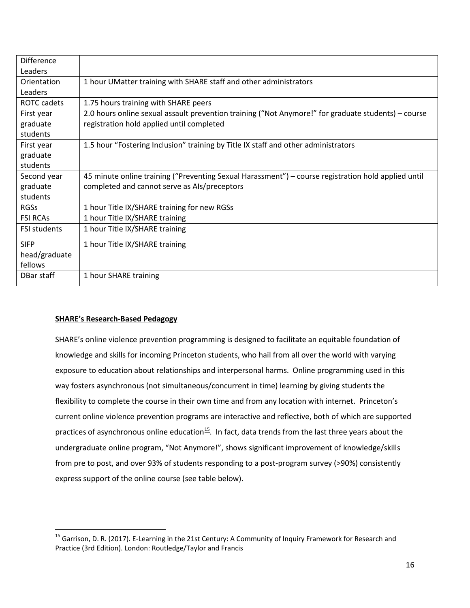| <b>Difference</b>   |                                                                                                     |  |  |  |  |
|---------------------|-----------------------------------------------------------------------------------------------------|--|--|--|--|
| Leaders             |                                                                                                     |  |  |  |  |
| Orientation         | 1 hour UMatter training with SHARE staff and other administrators                                   |  |  |  |  |
| Leaders             |                                                                                                     |  |  |  |  |
| ROTC cadets         | 1.75 hours training with SHARE peers                                                                |  |  |  |  |
| First year          | 2.0 hours online sexual assault prevention training ("Not Anymore!" for graduate students) – course |  |  |  |  |
| graduate            | registration hold applied until completed                                                           |  |  |  |  |
| students            |                                                                                                     |  |  |  |  |
| First year          | 1.5 hour "Fostering Inclusion" training by Title IX staff and other administrators                  |  |  |  |  |
| graduate            |                                                                                                     |  |  |  |  |
| students            |                                                                                                     |  |  |  |  |
| Second year         | 45 minute online training ("Preventing Sexual Harassment") - course registration hold applied until |  |  |  |  |
| graduate            | completed and cannot serve as Als/preceptors                                                        |  |  |  |  |
| students            |                                                                                                     |  |  |  |  |
| <b>RGSs</b>         | 1 hour Title IX/SHARE training for new RGSs                                                         |  |  |  |  |
| <b>FSI RCAS</b>     | 1 hour Title IX/SHARE training                                                                      |  |  |  |  |
| <b>FSI students</b> | 1 hour Title IX/SHARE training                                                                      |  |  |  |  |
| <b>SIFP</b>         | 1 hour Title IX/SHARE training                                                                      |  |  |  |  |
| head/graduate       |                                                                                                     |  |  |  |  |
| fellows             |                                                                                                     |  |  |  |  |
| DBar staff          | 1 hour SHARE training                                                                               |  |  |  |  |

# **SHARE's Research-Based Pedagogy**

 $\overline{\phantom{a}}$ 

 knowledge and skills for incoming Princeton students, who hail from all over the world with varying flexibility to complete the course in their own time and from any location with internet. Princeton's practices of asynchronous online education<sup>[15](#page-15-0)</sup>. In fact, data trends from the last three years about the from pre to post, and over 93% of students responding to a post-program survey (>90%) consistently SHARE's online violence prevention programming is designed to facilitate an equitable foundation of exposure to education about relationships and interpersonal harms. Online programming used in this way fosters asynchronous (not simultaneous/concurrent in time) learning by giving students the current online violence prevention programs are interactive and reflective, both of which are supported undergraduate online program, "Not Anymore!", shows significant improvement of knowledge/skills express support of the online course (see table below).

<span id="page-15-0"></span><sup>&</sup>lt;sup>15</sup> Garrison, D. R. (2017). E-Learning in the 21st Century: A Community of Inquiry Framework for Research and Practice (3rd Edition). London: Routledge/Taylor and Francis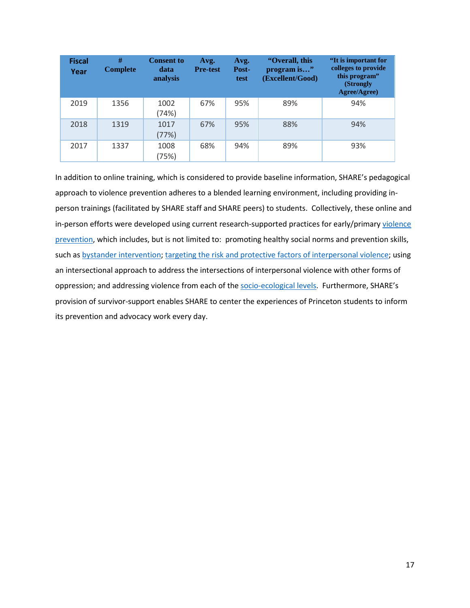| <b>Fiscal</b><br>Year | #<br><b>Complete</b> | <b>Consent to</b><br>data<br>analysis | Avg.<br><b>Pre-test</b> | Avg.<br>Post-<br>test | "Overall, this<br>program is"<br>(Excellent/Good) | "It is important for<br>colleges to provide<br>this program"<br>(Strongly<br>Agree/Agree) |
|-----------------------|----------------------|---------------------------------------|-------------------------|-----------------------|---------------------------------------------------|-------------------------------------------------------------------------------------------|
| 2019                  | 1356                 | 1002<br>(74%)                         | 67%                     | 95%                   | 89%                                               | 94%                                                                                       |
| 2018                  | 1319                 | 1017<br>(77%)                         | 67%                     | 95%                   | 88%                                               | 94%                                                                                       |
| 2017                  | 1337                 | 1008<br>(75%)                         | 68%                     | 94%                   | 89%                                               | 93%                                                                                       |

such as [bystander intervention;](http://www.ncdsv.org/images/Sex%20Violence%20Prevention%20through%20Bystander%20Education.pdf) [targeting the risk and protective factors of interpersonal violence;](https://www.cdc.gov/violenceprevention/intimatepartnerviolence/riskprotectivefactors.html) using oppression; and addressing violence from each of the **socio-ecological levels**. Furthermore, SHARE's provision of survivor-support enables SHARE to center the experiences of Princeton students to inform its prevention and advocacy work every day. In addition to online training, which is considered to provide baseline information, SHARE's pedagogical approach to violence prevention adheres to a blended learning environment, including providing inperson trainings (facilitated by SHARE staff and SHARE peers) to students. Collectively, these online and in-person efforts were developed using current research-supported practices for early/primar[y violence](https://www.cdc.gov/violenceprevention/sexualviolence/prevention.html) [prevention,](https://www.cdc.gov/violenceprevention/sexualviolence/prevention.html) which includes, but is not limited to: promoting healthy social norms and prevention skills, an intersectional approach to address the intersections of interpersonal violence with other forms of its prevention and advocacy work every day.<br>
17<br>
17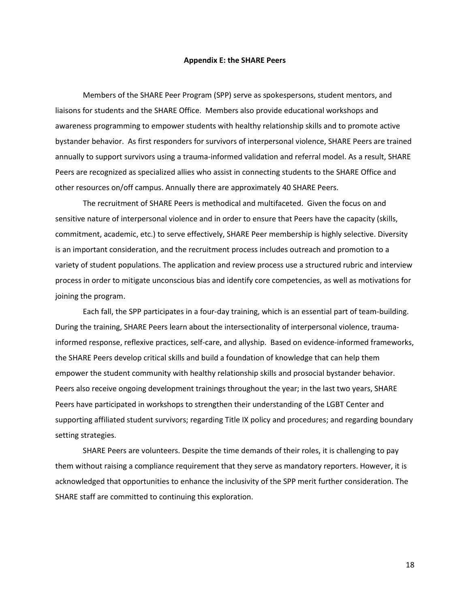#### **Appendix E: the SHARE Peers**

 Members of the SHARE Peer Program (SPP) serve as spokespersons, student mentors, and liaisons for students and the SHARE Office. Members also provide educational workshops and bystander behavior. As first responders for survivors of interpersonal violence, SHARE Peers are trained awareness programming to empower students with healthy relationship skills and to promote active annually to support survivors using a trauma-informed validation and referral model. As a result, SHARE Peers are recognized as specialized allies who assist in connecting students to the SHARE Office and other resources on/off campus. Annually there are approximately 40 SHARE Peers.

 The recruitment of SHARE Peers is methodical and multifaceted. Given the focus on and sensitive nature of interpersonal violence and in order to ensure that Peers have the capacity (skills, commitment, academic, etc.) to serve effectively, SHARE Peer membership is highly selective. Diversity is an important consideration, and the recruitment process includes outreach and promotion to a variety of student populations. The application and review process use a structured rubric and interview process in order to mitigate unconscious bias and identify core competencies, as well as motivations for joining the program.

 During the training, SHARE Peers learn about the intersectionality of interpersonal violence, trauma- informed response, reflexive practices, self-care, and allyship. Based on evidence-informed frameworks, empower the student community with healthy relationship skills and prosocial bystander behavior. Peers have participated in workshops to strengthen their understanding of the LGBT Center and Each fall, the SPP participates in a four-day training, which is an essential part of team-building. the SHARE Peers develop critical skills and build a foundation of knowledge that can help them Peers also receive ongoing development trainings throughout the year; in the last two years, SHARE supporting affiliated student survivors; regarding Title IX policy and procedures; and regarding boundary setting strategies.

SHARE Peers are volunteers. Despite the time demands of their roles, it is challenging to pay them without raising a compliance requirement that they serve as mandatory reporters. However, it is acknowledged that opportunities to enhance the inclusivity of the SPP merit further consideration. The SHARE staff are committed to continuing this exploration.

18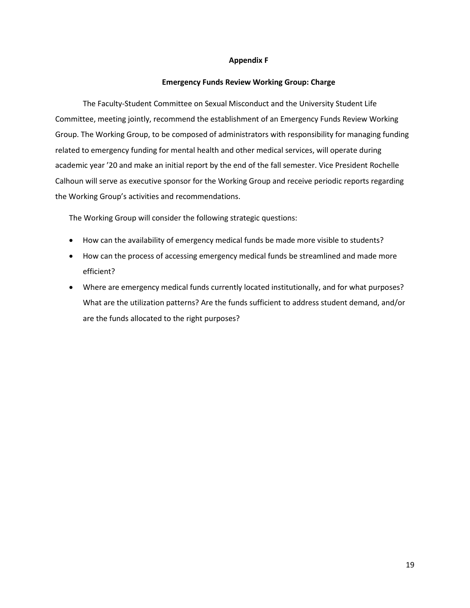## **Appendix F**

# **Emergency Funds Review Working Group: Charge**

 related to emergency funding for mental health and other medical services, will operate during academic year '20 and make an initial report by the end of the fall semester. Vice President Rochelle The Faculty-Student Committee on Sexual Misconduct and the University Student Life Committee, meeting jointly, recommend the establishment of an Emergency Funds Review Working Group. The Working Group, to be composed of administrators with responsibility for managing funding Calhoun will serve as executive sponsor for the Working Group and receive periodic reports regarding the Working Group's activities and recommendations.

The Working Group will consider the following strategic questions:

- How can the availability of emergency medical funds be made more visible to students?
- How can the process of accessing emergency medical funds be streamlined and made more efficient?
- Where are emergency medical funds currently located institutionally, and for what purposes? What are the utilization patterns? Are the funds sufficient to address student demand, and/or are the funds allocated to the right purposes?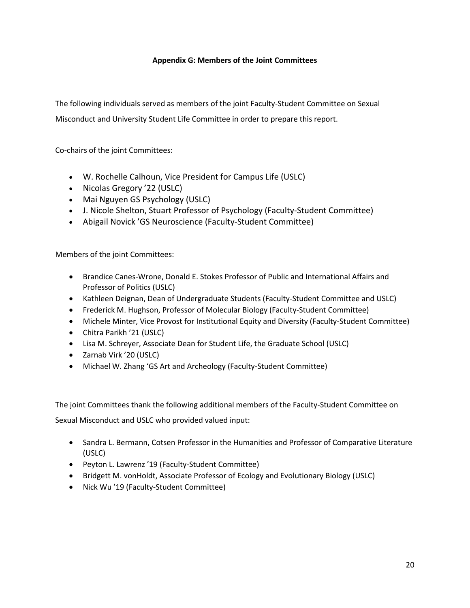# **Appendix G: Members of the Joint Committees**

 Misconduct and University Student Life Committee in order to prepare this report. The following individuals served as members of the joint Faculty-Student Committee on Sexual

Co-chairs of the joint Committees:

- • W. Rochelle Calhoun, Vice President for Campus Life (USLC)
- Nicolas Gregory '22 (USLC)
- Mai Nguyen GS Psychology (USLC)
- J. Nicole Shelton, Stuart Professor of Psychology (Faculty-Student Committee)
- Abigail Novick 'GS Neuroscience (Faculty-Student Committee)

Members of the joint Committees:

- Professor of Politics (USLC) • Brandice Canes-Wrone, Donald E. Stokes Professor of Public and International Affairs and
- Kathleen Deignan, Dean of Undergraduate Students (Faculty-Student Committee and USLC)
- Frederick M. Hughson, Professor of Molecular Biology (Faculty-Student Committee)
- Michele Minter, Vice Provost for Institutional Equity and Diversity (Faculty-Student Committee)
- • Chitra Parikh '21 (USLC)
- Lisa M. Schreyer, Associate Dean for Student Life, the Graduate School (USLC)
- • Zarnab Virk '20 (USLC)
- Michael W. Zhang 'GS Art and Archeology (Faculty-Student Committee)

The joint Committees thank the following additional members of the Faculty-Student Committee on

Sexual Misconduct and USLC who provided valued input:

- • Sandra L. Bermann, Cotsen Professor in the Humanities and Professor of Comparative Literature (USLC)
- • Peyton L. Lawrenz '19 (Faculty-Student Committee)
- Bridgett M. vonHoldt, Associate Professor of Ecology and Evolutionary Biology (USLC)
- Nick Wu '19 (Faculty-Student Committee)